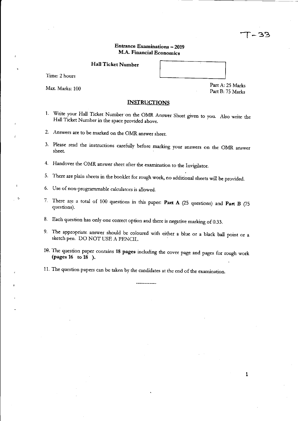### Entrance Examinations - 2019 M.A. Financial Economics

Hall Ticket Number

Time: 2 hours

Max. Marks: 100

Part A: 25 Marks

Part B: 75 Marks

T – 33

**INSTRUCTIONS** 

- 1. Write your Hall Ticket Number'on the OMR Answer Sheet given to you. Also write the Hall Ticket Number in the space provided above.
- 2. Answers are to be marked on the OMR answer sheet.
- 3. Please read the instructions carefully before marking your answers on the OMR answer sheet.
- 4. Handover the OMR answer sheet after the examination to the Invigilator.
- 5. There are plain sheets in the booklet for rough work, no additional sheets will be provided.
- 6. Use of non-programmable calculators is allowed.
- 7. There are a total of 100 questions in *this* paper: Part A (25 questions) and Part B (75 questions).
- 8. Each question has only one correct option and there is negative marking of 0.33.
- 9. The appropriate answer should be coloured with either a blue or a black ball point or a sketch pen. DO NOT USE A PENCIL.
- H). The question paper contains 18 pages including the cover page and pages for rough work (pages 16 to 18 ).
- 11. The question papers can be taken by the candidates at the end of the examination.

1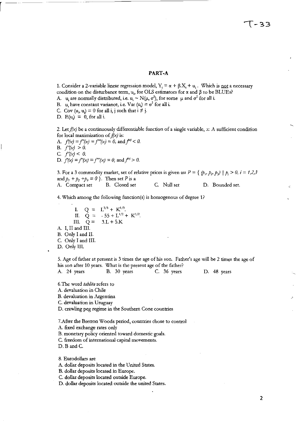#### **PART-A**

1. Consider a 2-variable linear regression model,  $Y_i = \alpha + \beta \cdot X_i + u_i$ . Which is not a necessary condition on the disturbance term,  $u_{\nu}$  for OLS estimators for  $\alpha$  and  $\beta$  to be BLUEs? A. u, are normally distributed, i.e.  $u_i \sim N(\mu, \sigma^2)$ , for some  $\mu$  and  $\sigma^2$  for all i.

- 
- B. u<sub>i</sub> have constant variance, i.e. Var  $(u_i) = \sigma^2$  for all i.
- C. Cov  $(u_i, u_i) = 0$  for all i, j such that  $i \neq j$ . D.  $E(u_i) = 0$ , for all i.

r-

2. Let  $f(x)$  be a continuously differentiable function of a single variable, *x*. A sufficient condition

for local maximization of *f(x)* is: A.  $f'(x) = f''(x) = f'''(x) = 0$ , and  $f^{(n)} < 0$ . B.  $f'(x) > 0$ . C.  $f'(x) < 0$ . D.  $f'(x) = f''(x) = f'''(x) = 0$ , and  $f^{(0)} > 0$ .

3. For a 3 commodity market, set of relative prices is given as:  $P = \{ (p_1, p_2, p_3) \mid p_i > 0, i = 1, 2, 3 \}$ and  $p_1 + p_2 + p_3 = 0$  }. Then set *P* is a<br>A. Compact set B. Closed set C. Null set D. Bounded set.

4. Which among the following function(s) is homogenous of degree  $1$ ?

I.  $Q =$ II.  $Q =$ III.  $Q =$ A. I, II and III. B. Only I and II. e. Only I and Ill.  $L^{2/3}$  **+**  $K^{1/3}$ .  $-55 + L^{1/2} + K^{1/2}$ .  $3.L + 5.K$ 

D. Only III.

5. Age of father at present is 3 times the age of his son. Father's age will be 2 times the age of his son after 10 years. What is the present age of the father? A. 24 years B. 30 years C. 36 years D. 48 years

6.The word *tab/ita* refers to

A. devaluation in Chile

B. devaluation in Argentina

e. devaluation in Uruguay

D. crawling peg regime in the Southern Cone countries

7.After the Bretton Woods period, countries chose to control

A. fixed exchange rates only

B. monetary policy oriented toward domestic goals.

C. freedom of international capital movements.

D. B and C.

8. Eurodollars are

A. dollar deposits located in the United States.

B. dollar deposits located in Europe.

e. dollar deposits located outside Europe.

D. dollar deposits located outside the united States.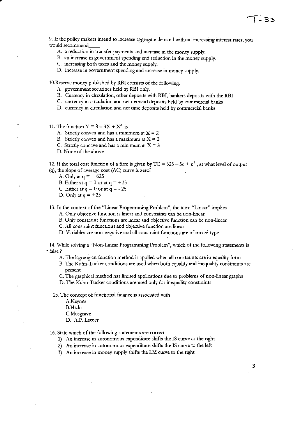9. If the policy makers intend to increase aggregate demand without increasing interest rates, you would recommend \_\_

- A. a reduction in transfer payments and increase in the money supply.
- B. an increase in government spending and reduction in the money supply.
- C. increasing both taxes and the money supply.
- D. increase in government spending and increase in money supply.

1O.Reserve money published by RBI consists of the following.

- A. government securities held by RBI only.
- B. Currency in circulation, other deposits with RBI, bankers deposits with the RBI
- C. currency in circulation and net demand deposits held by commercial banks
- D. currency in circulation and net time deposits held by commercial banks

11. The function  $Y = 8 - 3X + X^2$  is

- A. Strictly convex and has a minimum at  $X = 2$
- B. Strictly convex and has a maximum at  $X = 2$
- C. Strictly concave and has a minimum at  $X = 8$
- D. None of the above

12. If the total cost function of a firm is given by TC =  $625 - 5q + q^2$ , at what level of output (q), the slope of average cost (AC) curve is zero?

- A. Only at  $q = +625$
- B. Either at  $q = 0$  or at  $q = +25$
- C. Either at  $q = 0$  or at  $q = -25$
- D. Only at  $q = +25$

13. In the context of the "Linear Programming Problem", the term "Linear" implies

A. Only objective function is linear and constraints can be non-linear

B. Only constraint functions are linear and objective function can be non-linear

C. All constraint functions and objective function are linear

D. Variables are non-negative and aU constraint functions are of mixed type

14. While solving a "Non-Linear Programming Problem", which of the following statements is • false?

A. The lagrangian function method is applied when all constraints are in equality form

B. The Kuhn-Tucker conditions are used when both equality and inequality constraints are **present** 

C. The graphical method has limited applications due to problems of non-linear graphs

D. The Kuhn-Tucker conditions are used only for inequality constraints

15. The concept of functional finance is associated with

- A.Keynes
- B.Hicks
- C.Musgrave
- D. A.P. Lerner

16. State which of the following statements are correct

1) An increase in autonomous expenditure shifts the IS curve to the right

2) An increase in autonomous expenditure shifts the IS curve to the left

3) An increase in money supply shifts the LM curve to the right

3

- 33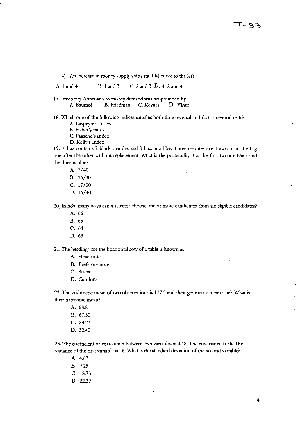4) An increase in money supply shifts the LM curve to the left

A. 1 and 4 B.1and3 C. 2 and 3 D. 4. 2 and 4

17. Inventory Approach to money demand was propounded by A. Baumol B. Friedman C. Keynes D. Viner

18. Which one of the following indices satisfies both time reversal and factor reversal tests?

A. Laspeyres' Index

B. Fisher's index

C. Paasche's Index

D. Kelly's Index

19. A bag contains 7 black marbles and 3 blue marbles. Three marbles are drawn from the bag one after the other without replacement. What is the probability that the first two are black and the third is blue?

A. 7/40

B. 16/30

C. 17/30

D. 16/40

20, In how many ways can a selector choose one or more candidates from six eligible candidates?

- A. 66
- B. 65
- C. 64
- D. 63

21. The headings for the horizontal row of a table is known as

- A. Head note
- B. Prefatory note
- C. Stubs
- D. Captions

22. The arithmetic mean of two observations is 127.5 and their geometric mean is 60. What is their harmonic mean?

A. 68.81

- B. 67.50
- C. 28.23
- D. 32.45

23. The coefficient of correlation between two variables is 0.48. The covariance is 36. The variance of the first variable is 16. What is the standard deviation of the second variable?

- A. 4.67 B. 9.25
- C. 18.75
- D. 22.39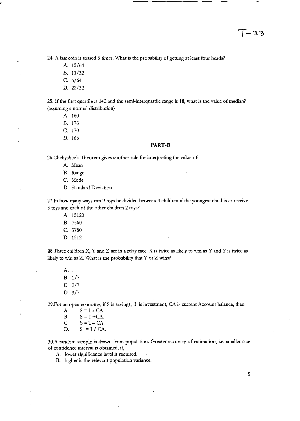24. A fair coin is tossed 6 times. What is the probability of getting at least four heads?

- A. 15/64
- B. 11/32
- C. 6/64
- D. 22/32

25. If the first quartile is 142 and the semi-interquartile range is 18, what is the value of median? (assuming a normal distribution)

- A. 160
- B. 178
- C. 170
- D. 168

#### **PART-B**

26.Chebyshev's Theorem gives another rule for interpreting the value of:

- A. Mean
- B. Range
- C. Mode
- D. Standard Deviation

27.In how many ways can 9 toys be divided between 4 children if the youngest child is to receive 3 toys and each of the other children 2 toys?

- A. 15120
- B. 7560
- C. 3780
- D. 1512

 $28.$ Three children X, Y and Z are in a relay race. X is twice as likely to win as Y and Y is twice as likely to win as Z. What is the probability that Y or Z wins?

A. 1 B. 1/7 C. 2/7 D. 3/7

29.For an open economy, if S is savings, I is investment, CA is current Account balance, then

- $A. S = I \times CA$ B.  $S = I + CA$ . C.  $S = I - CA$ .
- D.  $S = I / CA$ .

30.A random sample is drawn from population. Greater accuracy of estimation, i.e. smaller size of confidence interval is obtained, if,

- A. lower significance level is required.
- B. higher is the relevant population variance.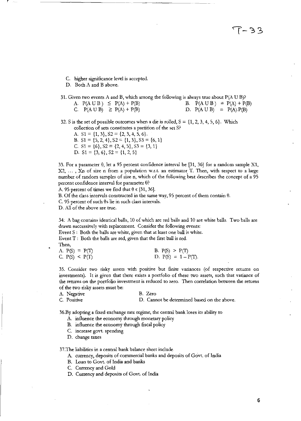$5e-1'$ 

- C. higher significance level is accepted.
- D. Both A and B above.
- 31. Given two events A and B, which among the following is always true about  $P(A \cup B)$ ? A.  $P(A \cup B) \leq P(A) + P(B)$ C.  $P(A \cup B) \geq P(A) + P(B)$ B.  $P(A \cup B) = P(A) + P(B)$ D.  $P(A \cup B) = P(A) \cdot P(B)$

32. S is the set of possible outcomes when a die is rolled,  $S = \{1, 2, 3, 4, 5, 6\}$ . Which collection of sets constitutes a partition of the set S?

A. S1 =  $\{1, 3\}$ , S2 =  $\{2, 3, 4, 5, 6\}$ . B.  $S1 = \{5, 2, 4\}, S2 = \{1, 3\}, S3 = \{6, 1\}$ C.  $S1 = \{6\}, S2 = \{2, 4, 5\}, S3 = \{3, 1\}$ D.  $S1 = \{3, 6\}, S2 = \{1, 2, 5\}$ 

33. For a parameter  $\theta$ , let a 95 percent confidence interval be [31, 36] for a random sample X1, **X2 .** ... , **Xn of size n from a population \V.r.t. an estimator, T. Then, with respect to a large**  number of random samples of size n, which of the following best describes the concept of a 95 percent confidence interval for parameter  $\theta$ ?

A. 95 percent of times we find that  $\theta \in [31, 36]$ .

B. Of the class intervals constructed in the same way, 95 percent of them contain  $\theta$ .

 $C.$  95 percent of such  $\theta$ s lie in such class intervals.

D. All of the above are true.

34: A bag contains identical balls, 10 of which are red balls and 10 are white balls. Two balls are drawn successively with replacement. Consider the following events:

Event S: Both the balls are white, given that at least one ball is white.

Event T: Both the balls are red, given that the first ball is red.

**Then,** 

| A. $P(S) = P(T)$ | B. $P(S) > P(T)$       |
|------------------|------------------------|
| C. $P(S) < P(T)$ | D. $P(S) = 1 - P(T)$ . |

35. Consider two risky assets with positive but finite variances (of respective returns on investments). It is given that there exists a portfolio of these two assets, such that variance of **the returns on the portfolio investment is reduced to zero. Then correlation between the returns**  of the two risky assets must be:

A. Negative B. Zero C. Positive D. Cannot be detennined based on the above.

36.By adopting a fixed exchange rate regime, the central bank loses its ability to

- A. influence the economy through monetary policy
- B. influence the economy through fiscal policy
- C. increase govt. spending

D. change taxes

37.The liabilities in a central bank balance sheet include

- A. currency, deposits of commercial banks and deposits of Govt. of India
- B. Loan to Govt. of India and banks
- C. Currency and Gold
- D. Currency and deposits of Govt. of India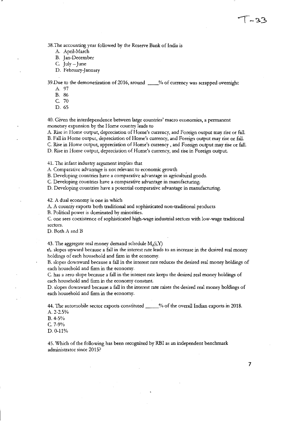38. The accounting year followed by the Reserve Bank of India is

A. April-March

B. Jan-December

C.  $Iulv - June$ 

D. February-January

39.Due to the demonetization of 2016, around \_\_ % of currency was scrapped overnight

A. 97

B. 86

C. 70

D.65

**40. Given the interdependence between large countries' macro economies, a permanent**  monetary expansion by the Home country leads to

A. Rise in Home output, depreciation of Home's currency, and Foreign output may rise or fall.

B. Fall in Home output, depreciation of Home's currency, and Foreign output may rise or fall.

e. Rise in Home output, appreciation of Home's currency, and Foreign output may rise or fall.

D. Rise in Home output, depreciation of Home's currency, and rise in Foreign output.

41. The infant industry argument implies that

**A. Comparative advantage is not relevant to economic growth** 

B. Developing countries have a comparative advantage in agricultural goods.

C. Developing countries have a comparative advantage in manufacturing.

D. Developing countries have a potential comparative advantage in manufacturing.

42. A dual economy is one in which

A. A country exports both traditional and sophisticated non-traditional products

B. Political power is dominated by minorities.

C. one sees coexistence of sophisticated high-wage industrial sectors with low-wage traditional **sectors.** 

D. Both A and B

43. The aggregate real money demand schedule  $M_d(i, Y)$ 

A. slopes upward because a fall in the interest rate leads to an increase in the desired real money holdings of each household and firm in the economy.

B. slopes downward because a fall in the interest rate reduces the desired real money holdings of each household and firm in the economy.

C. has a zero slope because a fall in the interest rate keeps the desired real money holdings of each household and firm in the economy constant.

D. slopes downward because a fall in the interest rate raises the desired real money holdings of each household and firm in the economy.

44. The automobile sector exports constituted \_\_\_ % of the overall Indian exports in 2018. A.2-2.5%

B.4-5%

e. 7-9%

D.O-11%

45. Which of the following has been recognized by RBI as an independent benchmark administrator since 2015?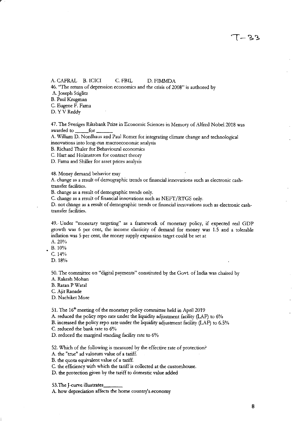A. CAFRAL B. ICICI C. FBIL D. FIMMDA

46. "The return of depression economics and the crisis of 2008" is authored by A. Joseph Stiglitz

B. Paul Krugman

C. Eugene F. Fama

D. Y V Reddy

47. The Sveriges Riksbank Prize in Economic Sciences in Memory of Alfred Nobel 2018 was awarded to \_\_ for \_\_ \_

A. William O. Nordhaus and Paul Romer for integrating climate change and technological **innovations into long-run macroeconomic analysis** 

B. Richard Thaler for Behavioural economics

C. Hart and Holmstrom for contract theory

O. Fama and Shiller for asset prices analysis

48. Money demand behavior may

A. change as a result of demographic trends or financial innovations such as electronic cashtransfer facilities.

B. change as a result of demographic trends only.

e. change as a result of financial innovations such as NEFT /RTGS only.

D. not change as a result of demographic trends or financial innovations such as electronic cashtransfer facilities.

49.· Under "monetary targeting" as a framework of monetary policy, if expected real GOP growth was 6 per cent, the income elasticity of demand for money was 1.5 and a tolerable inflation was 5 per cent, the money supply expansion target could be set at

A.20%

B,1O%

e. 14%

D. 18%

50. The committee on "digital payments" constituted by the Govt. of India was chaired by A. Rakesh Mohan

B. Ratan P Watal

C. Ajit Ranade

D. Nachiket More

51. The 16" meeting of the monetary policy committee held in April 2019

A. reduced the policy repo rate under the liqnidity adjustment facility (lAF) to 6%

B. increased the policy repo rate under the liquidity adjustment facility (lAF) to 6.5%

C. reduced the bank rate to 6%

O. reduced the marginal standing facility rate to 6%

52. Which of the following is measured by the effective rate of protection?

A. the "true" ad valorum value of a tariff.

B. the quota equivalent value of a tariff.

C. the efficiency with which the tariff is collected at the customhouse.

D. the protection given by the tariff to domestic value added

53.The J-curve illustrates\_

A. how depreciation affects the home country's.economy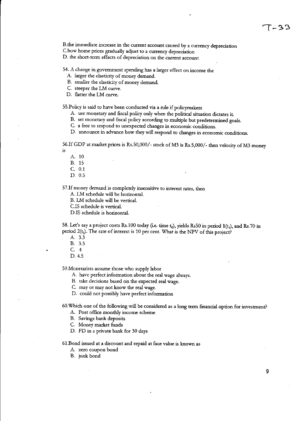B.the immediate increase in the current account caused by a currency depreciation e.how home prices gradually adjust to a currency depreciation D. the short-term effects of depreciation on the current account

54. A change in government spending has a larger effect on income the

A. larger the elasticity of money demand.

B. smaller the elasticity of money demand.

C. steeper the LM curve.

D. flatter the LM curve.

55.Policy is said to have been conducted via a rule if policymakers

A. use monetary and fiscal policy only when the political situation dictates it

B. set monetary and fiscal policy according to multiple but predetermined goals.

e. a free to respond to unexpected changes in economic conditions.

D. announce in advance how they will respond to changes in economic conditions.

56.If GDP at market prices is Rs.50,OOO/ - stock of M3 is Rs.5,OOO/ - then velocity of M3 money is

- A. 10
- B. 15

e. 0.1

D. 0.5

57. If money demand is completely insensitive to interest rates, then

A. LM schedule will be horizontal.

B. LM schedule will be vertical.

C.lS schedule is vertical.

D.IS schedule is horizontal.

58. Let's say a project costs Rs.100 today (i.e. time  $t_0$ ), yields Rs50 in period 1(t<sub>1</sub>), and Rs.70 in period  $2(t_2)$ . The rate of interest is 10 per cent. What is the NPV of this project?

A. 3.3

B. 3.5

e. 4

D.4.5

59.Monetarists assume those who supply labor

A. have perfect information about the real wage always.

B. take decisions based on the expected real wage.

e. mayor may not know the real wage.

D. could not possibly have perfect information

60.Which one of the following will be considered as a long term financial option for investment?

A. Post office monthly income scheme

B. Savings bank deposits

e. Money market funds

D. FD in a private bank for 30 days

61.Bond issued at a discount and repaid at face value is known as

A. zero coupon bond

B. junk bond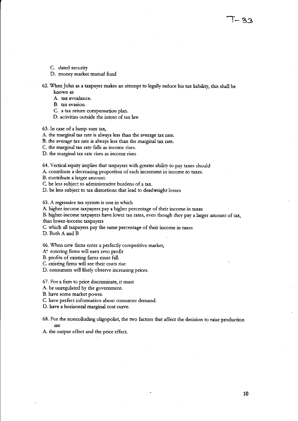- C. dated security
- D. money market mutual fund

62. When John as a taxpayer makes an attempt to legally reduce his tax liability, this shall *be*  known as

A. tax avoidance.

B. tax evasion.

e. a tax retum compensation plan.

D. activities outside the intent of tax law

63. In case of a lump-sum tax,

A. the marginal tax rate is always less than the average tax rate.

B. the average tax rate is always less than the marginal tax rate.

C. the marginal tax rate falls as income rises.

**D. the marginal tax rate rises as income rises** 

64. Vertical equity implies that taxpayers with greater ability to pay taxes should

A. contribute a decreasing proportion of each increment in income to taxes.

B. contribute a larger amount.

e. *be* less subject to administrative burdens of a tax.

D. be less subject to tax distortions that lead to deadweight losses

65. A regressive tax system is one in which

A. higher income taxpayers pay a higher percentage of their income in taxes

B. higher-income taxpayers have lower tax rates, even though they pay a larger amount of tax, than lower-income taxpayers

e. which all taxpayers pay the same percentage of their income in taxes

D. Both A and B

66. When new firms enter a perfectly competitive market,

A: entering firms will earn zero profit.

B. profits of existing firms must fall.

C. existing firms will see their costs rise.

D. consumers will likely observe increasing prices.

67. For a firm to price discriminate, it must

A. be unregulated by the government.

B. have some market power.

C. have perfect information about consumer demand.

D. have a horizontal marginal cost curve.

68. For the noncolluding oligopolist, the two factors that affect the decision to raise production are

A. the output effect and the price effect.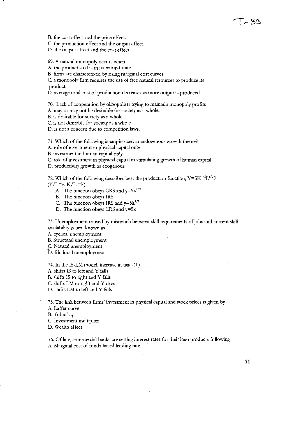B. the cost effect and the price effect.

C. the production effect and the output effect.

D. the output effect and the cost effect.

69. A natural monopoly occurs when

A. the product sold is in its natural state

B. firms are characterized by rising marginal cost curves.

C. a monopoly firm requires the use of free natural resources to produce its product.

D. average total cost of production decreases as more output is produced.

70. Lack of cooperation by oligopolists trying to maintain monopoly profits

A. mayor may not be desirable for society as a whole.

B. is desirable for society as a whole.

C. is not desirable for society as a whole.

**D. is not a concern due to competition laws.** 

71. Which of the following is emphasized in endogenous growth theory?

A. role of investment in physical capital only

B. investment in human capital only

C. role of investment in physical capital in stimulating growth of human capital

D. productivity growth as exogenous

72. Which of the following describes best the production function,  $Y=5K^{1/2}L^{1/2}$ ?  $(Y/L=y, K/L = k)$ 

A. The function obeys CRS and  $y=5k^{1/2}$ 

B. The function obeys IRS

C. The function obeys IRS and  $y=5k^{1/3}$ 

D. The function obeys CRS and y=5k

73. Unemployment caused by mismatch between skill requirements of jobs and current skill availability is best known as

A. cyclical unemployment

B. Structural unemployment

C. Natural unemployment

D. frictional unemployment

74. In the IS-LM model, increase in taxes(T)

A. shifts IS to left and Y falls

B. shifts IS to right and Y falls

C. shifts LM to right and Y rises

D. shifts LM to left and Y falls

75. The link between firms' investment in physical capital and stock prices is given by

A. Laffer curve

B. Tobin's *q* 

C. Investment multiplier

D. Wealth effect

76. Of late, commercial banks are setting interest rates for their loan products following A. Marginal cost of funds based lending rate

11

[~33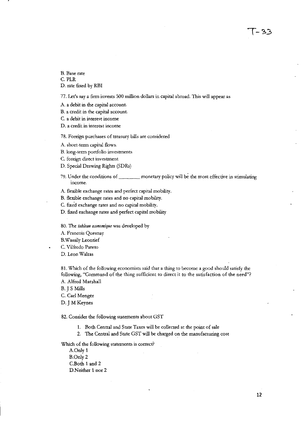$1 - 33$ 

B. Base rate C. PLR D. rate fixed by RBI

77. Let's say a finn invests 500 million dollars in capital abroad. This will appear as

A. a debit in the capital account.

B. a credit in the capital-account.

C. a debit in interest income

**D. a credit in interest income** 

78. Foreign purchases of treasury bills are considered

A. short-term capital flows.

B. long-term portfolio investments

C. foreign direct investment

D. Special Drawing Rights (SDRs)

79. Under the conditions of \_\_\_\_\_\_ monetary policy will be the most effective in stimulating income.

A. flexible exchange rates and perfect capital mobility.

B. flexible exchange rates and no capital mobility.

C. fIXed exchange rates and no capital mobility.

D. fixed exchange rates and perfect capital mobility

80. The tableau economique was developed by

A. Francois Quesnay

B.Wassily Leontief

C. Vilfredo Pareto

D. Leon Walras

81. Which of the following economists said that a thing to become a good should satisfy the following, "Command of the thing sufficient to direct it to the satisfaction of the need"? A. Alfred Marshall

B.] S Mills

C. Carl Menger

D. J M Keynes

82. Consider the following statements about GST

1. Both Central and State Taxes will be collected at the point of sale

2. The Central and State GST will be charged on the manufacturing cost

Which of the following statements is correct?

A.Only 1 B.Only2 C.Both 1 and 2 D.Neither 1 nor 2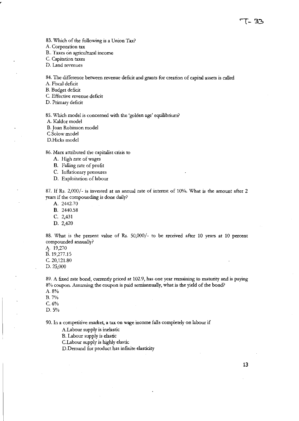83. Which of the following is a Union Tax?

A. Corporation tax

B.. Taxes on agricultural income

C. Capitation taxes

D. Land revenues

84. The difference between revenue deficit and grants for creation of capital assets is called

A. Fiscal deficit

B. Budget deficit

C. Effective revenue deficit

D. Primary deficit

85. Which model is concerned with the 'golden age' equilibrium?

A. Kaldor model

B. Joan Robinson model

C.Solow model

D.Hicks model

86. Marx attributed the capitalist crisis to

- A. High rate of wages
- B. Falling rate of profit
- C. Inflationary pressures
- D. Exploitation of labour

87. If Rs. 2,000/- is invested at an annual rate of interest of 10%. What is the amount after 2 years if the compounding is done daily?

A. 2442,70

B. 2440.58

C. 2,431

D. 2,420

88. What is the present value of Rs. 50,000/- to be received after 10 years at 10 percent compounded annually?

1\. 19,270 B.19,277.15

C. 20,121.80

D.25,000

89. A fixed rate bond, currently priced at 102.9, has one year remaining to maturity and is paying 8% coupon. Assuming the coupon is paid semiannually, what is the yield of the bond?

- A.8%
- B.7%

C.6%

D.5%

90. In a competitive market, a tax on wage income falls completely on labour if

A.Labour supply is inelastic

B. Labour supply is elastic

C.Labour supply is highly elastic

D.Demand for product has infinite elasticity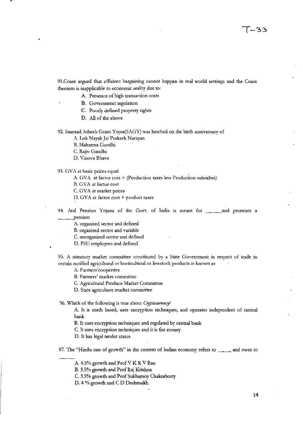91. Coase argued that efficient bargaining cannot happen in real world settings and the Coase theorem is inapplicable to economic reality due to:

A. Presence of high transaction costs

**B. Government regulation** 

C. Poorly defined property rights

D. All of the above

92. Saansad Adarsh Gram Yojna(SAGY) was lunched on the birth anniversary of

A. Lok Nayak Jai Prakash Narayan

B. Mahatma Gandhi

C. Rajiv Gandhi

D. Vinova Bhave

93. GVA at basic prices equal

A. GVA at factor cost + (production taxes less Production subsidies)

B. GVA at factor cost

C. GVA at market prices

D. GVA at factor cost + product taxes

94. Atal Pension Yojana of the Govt. of India is meant for <u>each and</u> promises a \_\_\_ pensIOn

A. organised sector and defined

B. organised sector and variable

C. unorganised sector and defined

D. PSU employees and defined

95. A statutory market committee constituted by a State Government in respect of trade in certain notified agricultural or horticultural or livestock products is known as

**A. Farmers' coopertive** 

**B. Farmers' market committee** 

C. Agricultural Produce Market Committee

D. State agriculture market committee

96. Which of the following is true about *Cryptocumnt:j?* 

A. It is math based, uses encryption techniques, and operates independent of central bank

B. It uses encryption techniques and regulated by central bank

C. It uses encryption techniques and it is fiat money

D. It has legal tender status

97. The "Hindu rate of growth" in the context of Indian economy refers to \_\_\_\_\_ and owes to

A. 4.5% growth and Prof V K R V Rao

B. 3.5% growth and Prof Raj Krishna

C. 3.5% growth and Prof Sukharnoy Chakraborty

D. 4 % growth and C D Deshmukh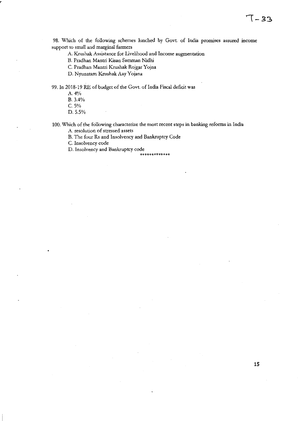98. Which of the following schemes lunched by Govt. of India promises assured income support to small and marginal farmers

A. Krushak Assistance for Livelihood and Income augmentation

B. Pradhan Mantri Kisan Samman Nidhi

C. Pradhan Mantri Krushak Rojgar Yojna

O. Nyunatam Krushak Aay Yojana

99. In 2018-19 RE of budget of the Govt. of India Fiscal deficit was

A. 4%

B.3.4%

C.5%

D. 5.5%

100. Which of the following characterize the most recent steps in banking reforms in India

**A. resolution of stressed assets** 

B. The four Rs and Insolvency and Bankruptcy Code

C. Insolvency code

D. Insolvency and Bankruptcy code **\*\*\*\*\*\*\*\*\*\*\*\*\*** 

**15** 

## **1-33**